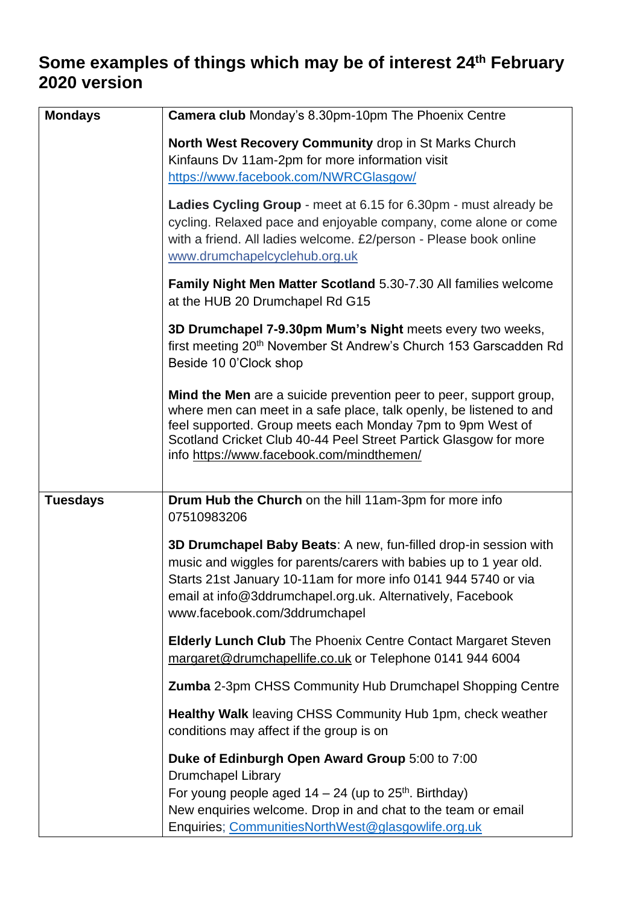# **Some examples of things which may be of interest 24th February 2020 version**

| <b>Mondays</b>  | <b>Camera club</b> Monday's 8.30pm-10pm The Phoenix Centre                                                                                                                                                                                                                                                               |
|-----------------|--------------------------------------------------------------------------------------------------------------------------------------------------------------------------------------------------------------------------------------------------------------------------------------------------------------------------|
|                 | North West Recovery Community drop in St Marks Church<br>Kinfauns Dv 11am-2pm for more information visit<br>https://www.facebook.com/NWRCGlasgow/                                                                                                                                                                        |
|                 | Ladies Cycling Group - meet at 6.15 for 6.30pm - must already be<br>cycling. Relaxed pace and enjoyable company, come alone or come<br>with a friend. All ladies welcome. £2/person - Please book online<br>www.drumchapelcyclehub.org.uk                                                                                |
|                 | Family Night Men Matter Scotland 5.30-7.30 All families welcome<br>at the HUB 20 Drumchapel Rd G15                                                                                                                                                                                                                       |
|                 | 3D Drumchapel 7-9.30pm Mum's Night meets every two weeks,<br>first meeting 20 <sup>th</sup> November St Andrew's Church 153 Garscadden Rd<br>Beside 10 0'Clock shop                                                                                                                                                      |
|                 | Mind the Men are a suicide prevention peer to peer, support group,<br>where men can meet in a safe place, talk openly, be listened to and<br>feel supported. Group meets each Monday 7pm to 9pm West of<br>Scotland Cricket Club 40-44 Peel Street Partick Glasgow for more<br>info https://www.facebook.com/mindthemen/ |
| <b>Tuesdays</b> | Drum Hub the Church on the hill 11am-3pm for more info<br>07510983206                                                                                                                                                                                                                                                    |
|                 | 3D Drumchapel Baby Beats: A new, fun-filled drop-in session with<br>music and wiggles for parents/carers with babies up to 1 year old.<br>Starts 21st January 10-11am for more info 0141 944 5740 or via<br>email at info@3ddrumchapel.org.uk. Alternatively, Facebook<br>www.facebook.com/3ddrumchapel                  |
|                 | <b>Elderly Lunch Club</b> The Phoenix Centre Contact Margaret Steven<br>margaret@drumchapellife.co.uk or Telephone 0141 944 6004                                                                                                                                                                                         |
|                 | <b>Zumba</b> 2-3pm CHSS Community Hub Drumchapel Shopping Centre                                                                                                                                                                                                                                                         |
|                 | Healthy Walk leaving CHSS Community Hub 1pm, check weather<br>conditions may affect if the group is on                                                                                                                                                                                                                   |
|                 | Duke of Edinburgh Open Award Group 5:00 to 7:00<br><b>Drumchapel Library</b><br>For young people aged $14 - 24$ (up to $25th$ . Birthday)<br>New enquiries welcome. Drop in and chat to the team or email<br>Enquiries; CommunitiesNorthWest@glasgowlife.org.uk                                                          |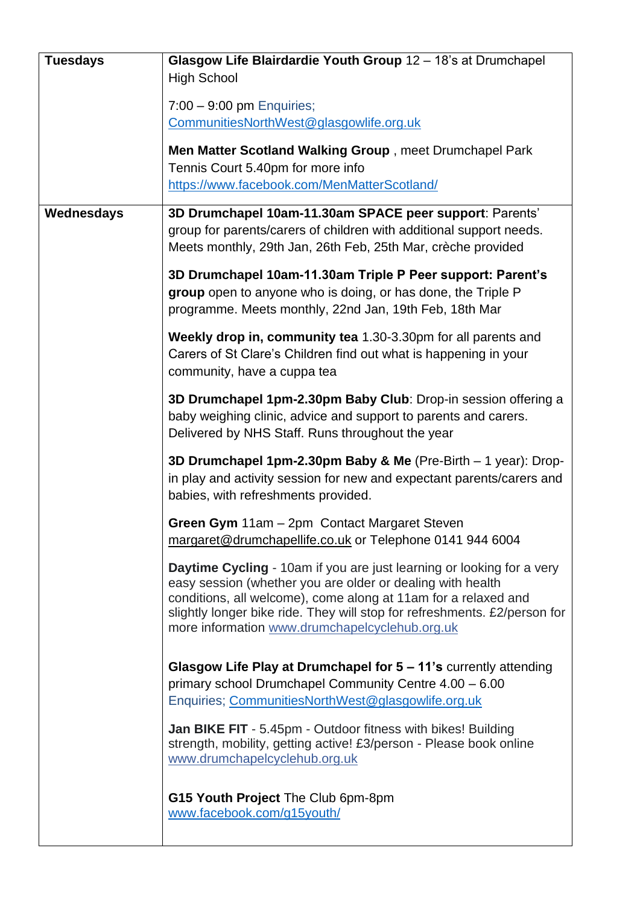| <b>Tuesdays</b> | Glasgow Life Blairdardie Youth Group 12 - 18's at Drumchapel                                                                                                                                                                                                                                                                                |
|-----------------|---------------------------------------------------------------------------------------------------------------------------------------------------------------------------------------------------------------------------------------------------------------------------------------------------------------------------------------------|
|                 | <b>High School</b>                                                                                                                                                                                                                                                                                                                          |
|                 | $7:00 - 9:00$ pm Enquiries;                                                                                                                                                                                                                                                                                                                 |
|                 | CommunitiesNorthWest@glasgowlife.org.uk                                                                                                                                                                                                                                                                                                     |
|                 | Men Matter Scotland Walking Group, meet Drumchapel Park                                                                                                                                                                                                                                                                                     |
|                 | Tennis Court 5.40pm for more info                                                                                                                                                                                                                                                                                                           |
|                 | https://www.facebook.com/MenMatterScotland/                                                                                                                                                                                                                                                                                                 |
| Wednesdays      | 3D Drumchapel 10am-11.30am SPACE peer support: Parents'                                                                                                                                                                                                                                                                                     |
|                 | group for parents/carers of children with additional support needs.<br>Meets monthly, 29th Jan, 26th Feb, 25th Mar, crèche provided                                                                                                                                                                                                         |
|                 | 3D Drumchapel 10am-11.30am Triple P Peer support: Parent's<br>group open to anyone who is doing, or has done, the Triple P<br>programme. Meets monthly, 22nd Jan, 19th Feb, 18th Mar                                                                                                                                                        |
|                 | Weekly drop in, community tea 1.30-3.30pm for all parents and<br>Carers of St Clare's Children find out what is happening in your<br>community, have a cuppa tea                                                                                                                                                                            |
|                 | 3D Drumchapel 1pm-2.30pm Baby Club: Drop-in session offering a<br>baby weighing clinic, advice and support to parents and carers.<br>Delivered by NHS Staff. Runs throughout the year                                                                                                                                                       |
|                 | 3D Drumchapel 1pm-2.30pm Baby & Me (Pre-Birth - 1 year): Drop-<br>in play and activity session for new and expectant parents/carers and<br>babies, with refreshments provided.                                                                                                                                                              |
|                 | Green Gym 11am - 2pm Contact Margaret Steven<br>margaret@drumchapellife.co.uk or Telephone 0141 944 6004                                                                                                                                                                                                                                    |
|                 | <b>Daytime Cycling</b> - 10am if you are just learning or looking for a very<br>easy session (whether you are older or dealing with health<br>conditions, all welcome), come along at 11am for a relaxed and<br>slightly longer bike ride. They will stop for refreshments. £2/person for<br>more information www.drumchapelcyclehub.org.uk |
|                 | Glasgow Life Play at Drumchapel for 5 - 11's currently attending<br>primary school Drumchapel Community Centre 4.00 - 6.00<br>Enquiries; CommunitiesNorthWest@glasgowlife.org.uk                                                                                                                                                            |
|                 | <b>Jan BIKE FIT</b> - 5.45pm - Outdoor fitness with bikes! Building<br>strength, mobility, getting active! £3/person - Please book online<br>www.drumchapelcyclehub.org.uk                                                                                                                                                                  |
|                 | G15 Youth Project The Club 6pm-8pm<br>www.facebook.com/g15youth/                                                                                                                                                                                                                                                                            |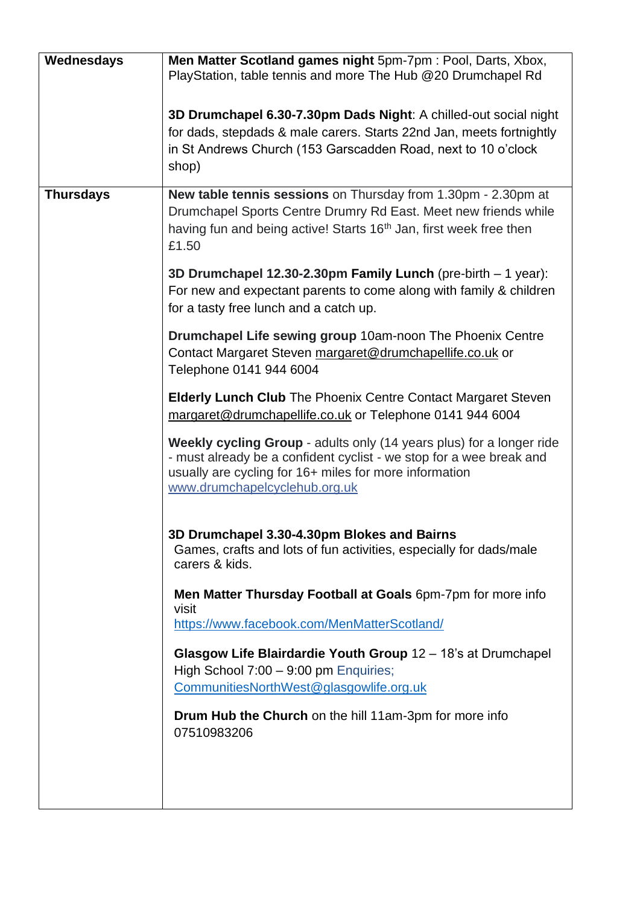| Wednesdays       | Men Matter Scotland games night 5pm-7pm : Pool, Darts, Xbox,                                                 |
|------------------|--------------------------------------------------------------------------------------------------------------|
|                  | PlayStation, table tennis and more The Hub @20 Drumchapel Rd                                                 |
|                  | 3D Drumchapel 6.30-7.30pm Dads Night: A chilled-out social night                                             |
|                  | for dads, stepdads & male carers. Starts 22nd Jan, meets fortnightly                                         |
|                  | in St Andrews Church (153 Garscadden Road, next to 10 o'clock                                                |
|                  | shop)                                                                                                        |
| <b>Thursdays</b> | New table tennis sessions on Thursday from 1.30pm - 2.30pm at                                                |
|                  | Drumchapel Sports Centre Drumry Rd East. Meet new friends while                                              |
|                  | having fun and being active! Starts 16 <sup>th</sup> Jan, first week free then                               |
|                  | £1.50                                                                                                        |
|                  | 3D Drumchapel 12.30-2.30pm Family Lunch (pre-birth – 1 year):                                                |
|                  | For new and expectant parents to come along with family & children<br>for a tasty free lunch and a catch up. |
|                  | Drumchapel Life sewing group 10am-noon The Phoenix Centre                                                    |
|                  | Contact Margaret Steven margaret@drumchapellife.co.uk or                                                     |
|                  | Telephone 0141 944 6004                                                                                      |
|                  | <b>Elderly Lunch Club</b> The Phoenix Centre Contact Margaret Steven                                         |
|                  | margaret@drumchapellife.co.uk or Telephone 0141 944 6004                                                     |
|                  | Weekly cycling Group - adults only (14 years plus) for a longer ride                                         |
|                  | - must already be a confident cyclist - we stop for a wee break and                                          |
|                  | usually are cycling for 16+ miles for more information<br>www.drumchapelcyclehub.org.uk                      |
|                  |                                                                                                              |
|                  | 3D Drumchapel 3.30-4.30pm Blokes and Bairns                                                                  |
|                  | Games, crafts and lots of fun activities, especially for dads/male                                           |
|                  | carers & kids.                                                                                               |
|                  | Men Matter Thursday Football at Goals 6pm-7pm for more info<br>visit                                         |
|                  | https://www.facebook.com/MenMatterScotland/                                                                  |
|                  | Glasgow Life Blairdardie Youth Group 12 - 18's at Drumchapel                                                 |
|                  | High School 7:00 - 9:00 pm Enquiries;                                                                        |
|                  | CommunitiesNorthWest@glasgowlife.org.uk                                                                      |
|                  | Drum Hub the Church on the hill 11am-3pm for more info<br>07510983206                                        |
|                  |                                                                                                              |
|                  |                                                                                                              |
|                  |                                                                                                              |
|                  |                                                                                                              |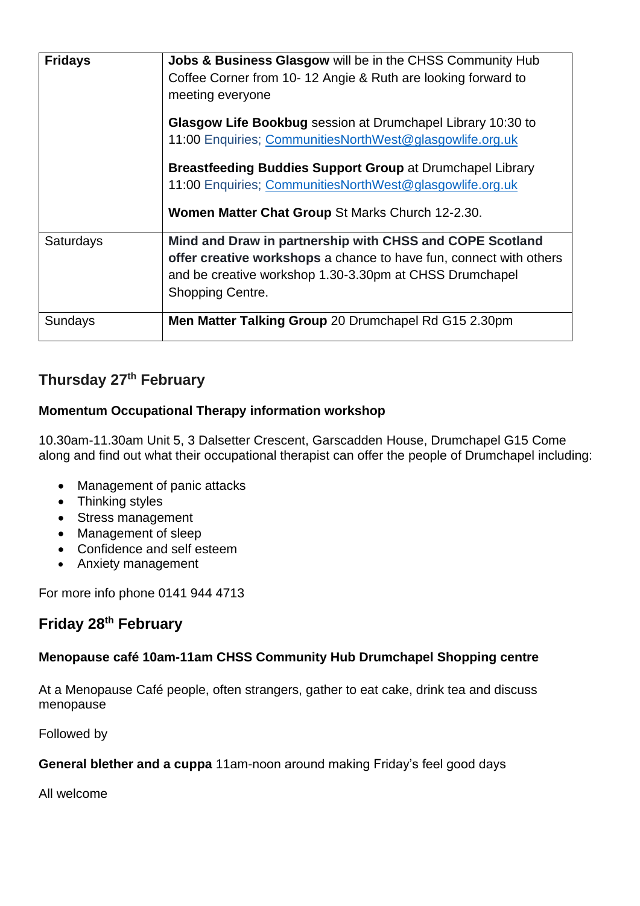| <b>Fridays</b> | Jobs & Business Glasgow will be in the CHSS Community Hub<br>Coffee Corner from 10-12 Angie & Ruth are looking forward to<br>meeting everyone                                                                 |
|----------------|---------------------------------------------------------------------------------------------------------------------------------------------------------------------------------------------------------------|
|                | Glasgow Life Bookbug session at Drumchapel Library 10:30 to<br>11:00 Enquiries; CommunitiesNorthWest@glasgowlife.org.uk                                                                                       |
|                | <b>Breastfeeding Buddies Support Group at Drumchapel Library</b><br>11:00 Enquiries; CommunitiesNorthWest@glasgowlife.org.uk<br>Women Matter Chat Group St Marks Church 12-2.30.                              |
| Saturdays      | Mind and Draw in partnership with CHSS and COPE Scotland<br>offer creative workshops a chance to have fun, connect with others<br>and be creative workshop 1.30-3.30pm at CHSS Drumchapel<br>Shopping Centre. |
| Sundays        | Men Matter Talking Group 20 Drumchapel Rd G15 2.30pm                                                                                                                                                          |

# **Thursday 27th February**

#### **Momentum Occupational Therapy information workshop**

10.30am-11.30am Unit 5, 3 Dalsetter Crescent, Garscadden House, Drumchapel G15 Come along and find out what their occupational therapist can offer the people of Drumchapel including:

- Management of panic attacks
- Thinking styles
- Stress management
- Management of sleep
- Confidence and self esteem
- Anxiety management

For more info phone 0141 944 4713

### **Friday 28th February**

#### **Menopause café 10am-11am CHSS Community Hub Drumchapel Shopping centre**

At a Menopause Café people, often strangers, gather to eat cake, drink tea and discuss menopause

Followed by

#### **General blether and a cuppa** 11am-noon around making Friday's feel good days

All welcome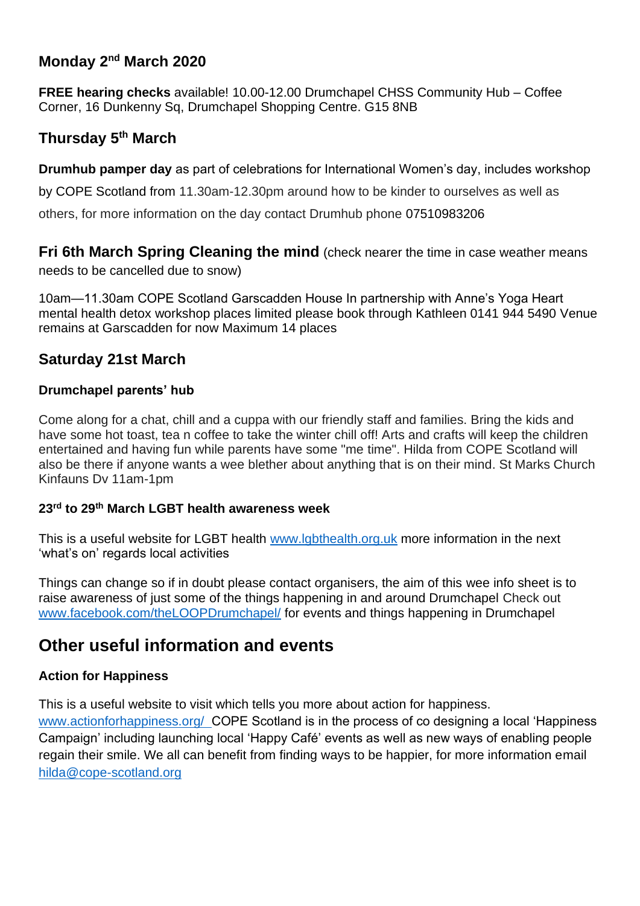# **Monday 2nd March 2020**

**FREE hearing checks** available! 10.00-12.00 Drumchapel CHSS Community Hub – Coffee Corner, 16 Dunkenny Sq, Drumchapel Shopping Centre. G15 8NB

## **Thursday 5th March**

**Drumhub pamper day** as part of celebrations for International Women's day, includes workshop

by COPE Scotland from 11.30am-12.30pm around how to be kinder to ourselves as well as

others, for more information on the day contact Drumhub phone 07510983206

**Fri 6th March Spring Cleaning the mind** (check nearer the time in case weather means needs to be cancelled due to snow)

10am—11.30am COPE Scotland Garscadden House In partnership with Anne's Yoga Heart mental health detox workshop places limited please book through Kathleen 0141 944 5490 Venue remains at Garscadden for now Maximum 14 places

# **Saturday 21st March**

#### **Drumchapel parents' hub**

Come along for a chat, chill and a cuppa with our friendly staff and families. Bring the kids and have some hot toast, tea n coffee to take the winter chill off! Arts and crafts will keep the children entertained and having fun while parents have some "me time". Hilda from COPE Scotland will also be there if anyone wants a wee blether about anything that is on their mind. St Marks Church Kinfauns Dv 11am-1pm

#### **23rd to 29th March LGBT health awareness week**

This is a useful website for LGBT health [www.lgbthealth.org.uk](http://www.lgbthealth.org.uk/) more information in the next 'what's on' regards local activities

Things can change so if in doubt please contact organisers, the aim of this wee info sheet is to raise awareness of just some of the things happening in and around Drumchapel Check out [www.facebook.com/theLOOPDrumchapel/](http://www.facebook.com/theLOOPDrumchapel/) for events and things happening in Drumchapel

# **Other useful information and events**

### **Action for Happiness**

This is a useful website to visit which tells you more about action for happiness.

[www.actionforhappiness.org/](http://www.actionforhappiness.org/) COPE Scotland is in the process of co designing a local 'Happiness Campaign' including launching local 'Happy Café' events as well as new ways of enabling people regain their smile. We all can benefit from finding ways to be happier, for more information email [hilda@cope-scotland.org](mailto:hilda@cope-scotland.org)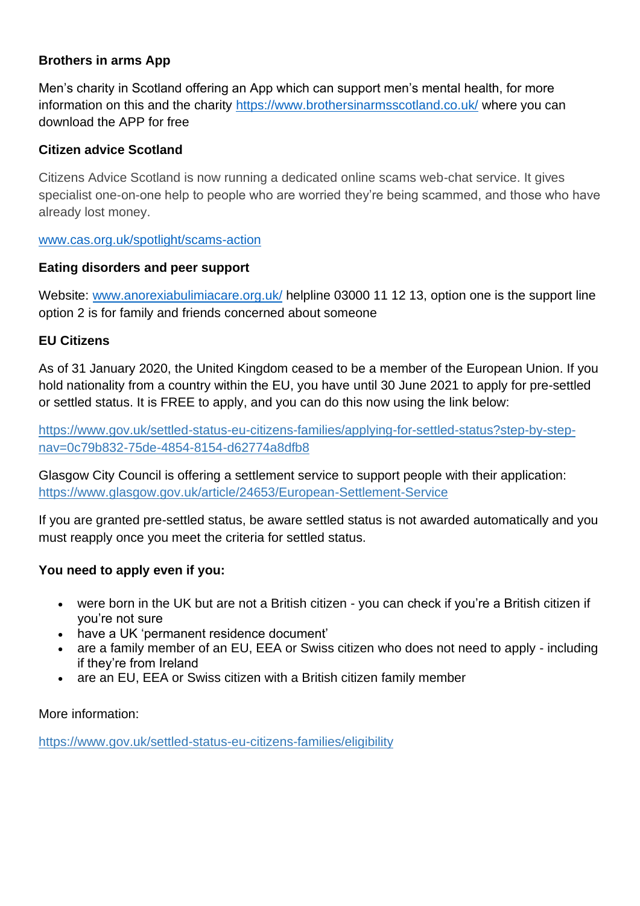#### **Brothers in arms App**

Men's charity in Scotland offering an App which can support men's mental health, for more information on this and the charity<https://www.brothersinarmsscotland.co.uk/> where you can download the APP for free

#### **Citizen advice Scotland**

Citizens Advice Scotland is now running a dedicated online scams web-chat service. It gives specialist one-on-one help to people who are worried they're being scammed, and those who have already lost money.

#### [www.cas.org.uk/spotlight/scams-action](http://www.cas.org.uk/spotlight/scams-action)

#### **Eating disorders and peer support**

Website: [www.anorexiabulimiacare.org.uk/](http://www.anorexiabulimiacare.org.uk/) helpline 03000 11 12 13, option one is the support line option 2 is for family and friends concerned about someone

#### **EU Citizens**

As of 31 January 2020, the United Kingdom ceased to be a member of the European Union. If you hold nationality from a country within the EU, you have until 30 June 2021 to apply for pre-settled or settled status. It is FREE to apply, and you can do this now using the link below:

[https://www.gov.uk/settled-status-eu-citizens-families/applying-for-settled-status?step-by-step](https://www.gov.uk/settled-status-eu-citizens-families/applying-for-settled-status?step-by-step-nav=0c79b832-75de-4854-8154-d62774a8dfb8)[nav=0c79b832-75de-4854-8154-d62774a8dfb8](https://www.gov.uk/settled-status-eu-citizens-families/applying-for-settled-status?step-by-step-nav=0c79b832-75de-4854-8154-d62774a8dfb8)

Glasgow City Council is offering a settlement service to support people with their application: <https://www.glasgow.gov.uk/article/24653/European-Settlement-Service>

If you are granted pre-settled status, be aware settled status is not awarded automatically and you must reapply once you meet the criteria for settled status.

#### **You need to apply even if you:**

- were born in the UK but are not a British citizen you can [check if you're a British citizen](https://www.gov.uk/check-british-citizenship) if you're not sure
- [have a UK 'permanent residence document'](https://www.gov.uk/settled-status-eu-citizens-families/if-you-have-permanent-residence-or-indefinite-leave-to-remain)
- are a family member of an EU, EEA or Swiss citizen who does not need to apply including if they're from Ireland
- are an EU, EEA or Swiss citizen with a British citizen family member

#### More information:

<https://www.gov.uk/settled-status-eu-citizens-families/eligibility>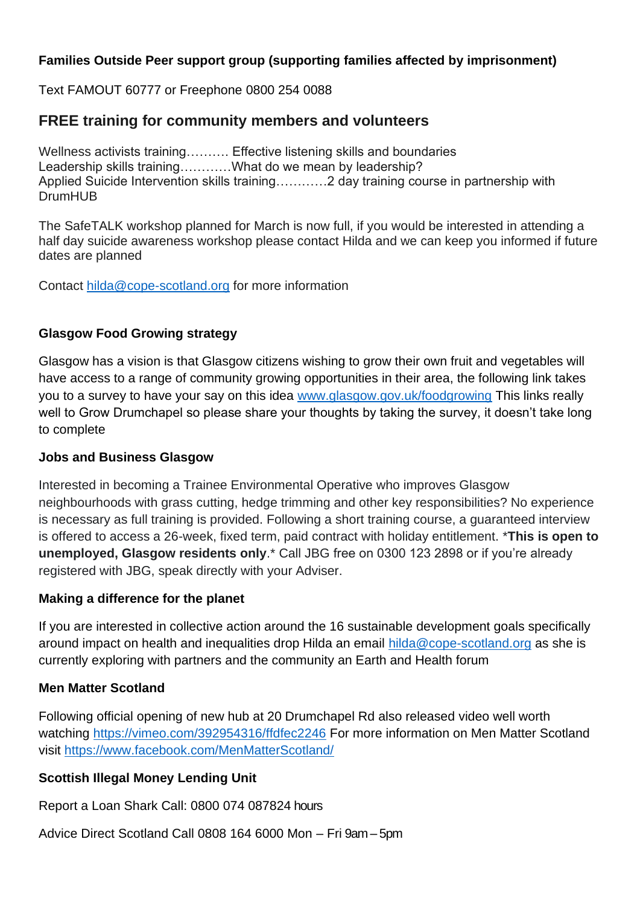#### **Families Outside Peer support group (supporting families affected by imprisonment)**

Text FAMOUT 60777 or Freephone 0800 254 0088

### **FREE training for community members and volunteers**

Wellness activists training………. Effective listening skills and boundaries Leadership skills training…………What do we mean by leadership? Applied Suicide Intervention skills training…………2 day training course in partnership with DrumHUB

The SafeTALK workshop planned for March is now full, if you would be interested in attending a half day suicide awareness workshop please contact Hilda and we can keep you informed if future dates are planned

Contact [hilda@cope-scotland.org](mailto:hilda@cope-scotland.org) for more information

#### **Glasgow Food Growing strategy**

Glasgow has a vision is that Glasgow citizens wishing to grow their own fruit and vegetables will have access to a range of community growing opportunities in their area, the following link takes you to a survey to have your say on this idea [www.glasgow.gov.uk/foodgrowing](http://www.glasgow.gov.uk/foodgrowing) This links really well to Grow Drumchapel so please share your thoughts by taking the survey, it doesn't take long to complete

#### **Jobs and Business Glasgow**

Interested in becoming a Trainee Environmental Operative who improves Glasgow neighbourhoods with grass cutting, hedge trimming and other key responsibilities? No experience is necessary as full training is provided. Following a short training course, a guaranteed interview is offered to access a 26-week, fixed term, paid contract with holiday entitlement. \***This is open to unemployed, Glasgow residents only**.\* Call JBG free on 0300 123 2898 or if you're already registered with JBG, speak directly with your Adviser.

#### **Making a difference for the planet**

If you are interested in collective action around the 16 sustainable development goals specifically around impact on health and inequalities drop Hilda an email [hilda@cope-scotland.org](mailto:hilda@cope-scotland.org) as she is currently exploring with partners and the community an Earth and Health forum

#### **Men Matter Scotland**

Following official opening of new hub at 20 Drumchapel Rd also released video well worth watching<https://vimeo.com/392954316/ffdfec2246> For more information on Men Matter Scotland visit<https://www.facebook.com/MenMatterScotland/>

#### **Scottish Illegal Money Lending Unit**

Report a Loan Shark Call: 0800 074 087824 hours

Advice Direct Scotland Call 0808 164 6000 Mon – Fri 9am – 5pm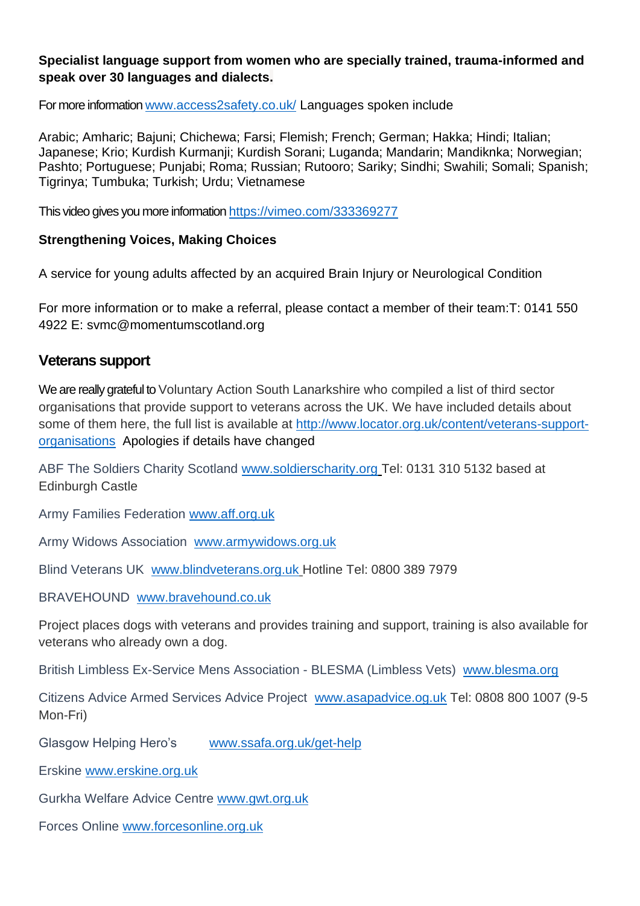#### **Specialist language support from women who are specially trained, trauma-informed and speak over 30 languages and dialects.**

For more information [www.access2safety.co.uk/](http://www.access2safety.co.uk/) Languages spoken include

Arabic; Amharic; Bajuni; Chichewa; Farsi; Flemish; French; German; Hakka; Hindi; Italian; Japanese; Krio; Kurdish Kurmanji; Kurdish Sorani; Luganda; Mandarin; Mandiknka; Norwegian; Pashto; Portuguese; Punjabi; Roma; Russian; Rutooro; Sariky; Sindhi; Swahili; Somali; Spanish; Tigrinya; Tumbuka; Turkish; Urdu; Vietnamese

This video gives you more information <https://vimeo.com/333369277>

#### **Strengthening Voices, Making Choices**

A service for young adults affected by an acquired Brain Injury or Neurological Condition

For more information or to make a referral, please contact a member of their team:T: 0141 550 4922 E: svmc@momentumscotland.org

### **Veterans support**

We are really grateful to Voluntary Action South Lanarkshire who compiled a list of third sector organisations that provide support to veterans across the UK. We have included details about some of them here, the full list is available at [http://www.locator.org.uk/content/veterans-support](http://www.locator.org.uk/content/veterans-support-organisations)[organisations](http://www.locator.org.uk/content/veterans-support-organisations) Apologies if details have changed

ABF The Soldiers Charity Scotland [www.soldierscharity.org](http://www.soldierscharity.org/) Tel: 0131 310 5132 based at Edinburgh Castle

Army Families Federation [www.aff.org.uk](http://www.aff.org.uk/)

Army Widows Association [www.armywidows.org.uk](http://www.armywidows.org.uk/)

Blind Veterans UK [www.blindveterans.org.uk](http://www.blindveterans.org.uk/) Hotline Tel: 0800 389 7979

BRAVEHOUND [www.bravehound.co.uk](http://www.bravehound.co.uk/)

Project places dogs with veterans and provides training and support, training is also available for veterans who already own a dog.

British Limbless Ex-Service Mens Association - BLESMA (Limbless Vets) [www.blesma.org](http://www.blesma.org/)

Citizens Advice Armed Services Advice Project [www.asapadvice.og.uk](http://www.asapadvice.og.uk/) Tel: 0808 800 1007 (9-5 Mon-Fri)

Glasgow Helping Hero's [www.ssafa.org.uk/get-help](http://www.ssafa.org.uk/get-help)

Erskine [www.erskine.org.uk](http://www.erskine.org.uk/)

Gurkha Welfare Advice Centre [www.gwt.org.uk](http://www.gwt.org.uk/)

Forces Online [www.forcesonline.org.uk](http://www.forcesonline.org.uk/)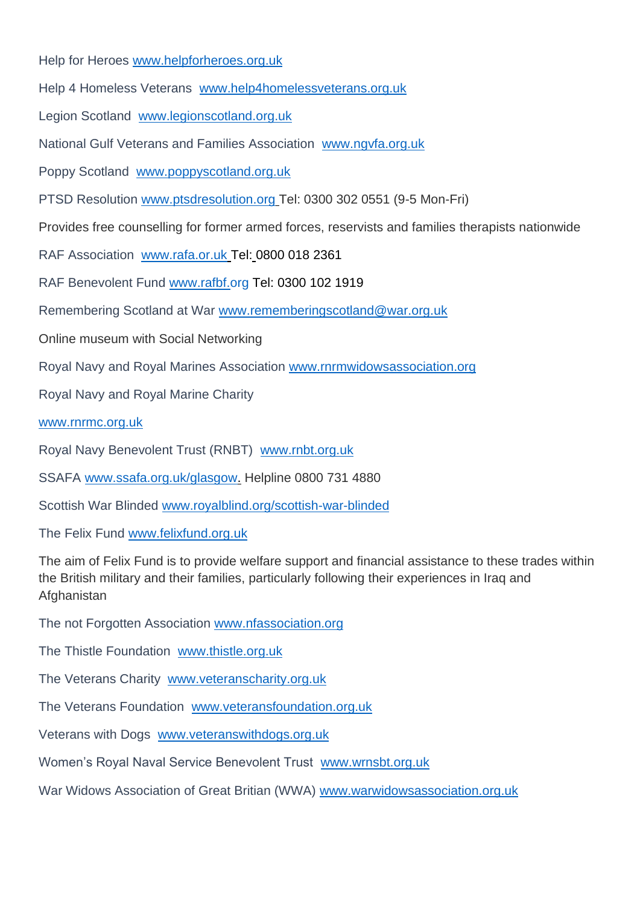Help for Heroes [www.helpforheroes.org.uk](http://www.helpforheroes.org.uk/)

Help 4 Homeless Veterans [www.help4homelessveterans.org.uk](http://www.help4homelessveterans.org.uk/)

Legion Scotland [www.legionscotland.org.uk](http://www.legionscotland.org.uk/)

National Gulf Veterans and Families Association [www.ngvfa.org.uk](http://www.ngvfa.org.uk/)

Poppy Scotland [www.poppyscotland.org.uk](http://www.poppyscotland.org.uk/)

PTSD Resolution [www.ptsdresolution.org](http://www.ptsdresolution.org/) Tel: 0300 302 0551 (9-5 Mon-Fri)

Provides free counselling for former armed forces, reservists and families therapists nationwide

RAF Association [www.rafa.or.uk](http://www.rafa.or.uk/) Tel: 0800 018 2361

RAF Benevolent Fund [www.rafbf.org](http://www.rafbf.org/) Tel: 0300 102 1919

Remembering Scotland at War [www.rememberingscotland@war.org.uk](http://www.rememberingscotland@war.org.uk)

Online museum with Social Networking

Royal Navy and Royal Marines Association [www.rnrmwidowsassociation.org](http://www.rnrmwidowsassociation.org/)

Royal Navy and Royal Marine Charity

[www.rnrmc.org.uk](http://www.rnrmc.org.uk/)

Royal Navy Benevolent Trust (RNBT) [www.rnbt.org.uk](http://www.rnbt.org.uk/)

SSAFA [www.ssafa.org.uk/glasgow.](http://www.ssafa.org.uk/glasgow) Helpline 0800 731 4880

Scottish War Blinded [www.royalblind.org/scottish-war-blinded](http://www.royalblind.org/scottish-war-blinded)

The Felix Fund [www.felixfund.org.uk](http://www.felixfund.org.uk/)

The aim of Felix Fund is to provide welfare support and financial assistance to these trades within the British military and their families, particularly following their experiences in Iraq and **Afghanistan** 

The not Forgotten Association [www.nfassociation.org](http://www.nfassociation.org/)

The Thistle Foundation [www.thistle.org.uk](http://www.thistle.org.uk/)

The Veterans Charity [www.veteranscharity.org.uk](http://www.veteranscharity.org.uk/)

The Veterans Foundation [www.veteransfoundation.org.uk](http://www.veteransfoundation.org.uk/)

Veterans with Dogs [www.veteranswithdogs.org.uk](http://www.veteranswithdogs.org.uk/)

Women's Royal Naval Service Benevolent Trust [www.wrnsbt.org.uk](http://www.wrnsbt.org.uk/)

War Widows Association of Great Britian (WWA) [www.warwidowsassociation.org.uk](http://www.warwidowsassociation.org.uk/)